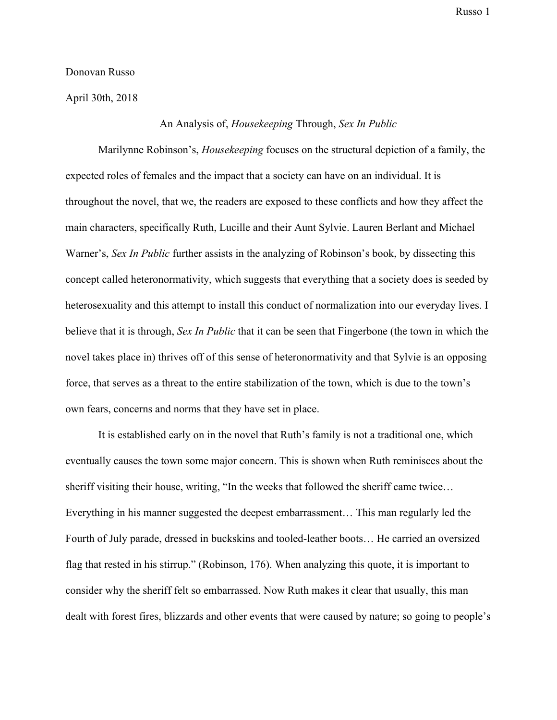Donovan Russo

April 30th, 2018

## An Analysis of, *Housekeeping* Through, *Sex In Public*

Marilynne Robinson's, *Housekeeping* focuses on the structural depiction of a family, the expected roles of females and the impact that a society can have on an individual. It is throughout the novel, that we, the readers are exposed to these conflicts and how they affect the main characters, specifically Ruth, Lucille and their Aunt Sylvie. Lauren Berlant and Michael Warner's, *Sex In Public* further assists in the analyzing of Robinson's book, by dissecting this concept called heteronormativity, which suggests that everything that a society does is seeded by heterosexuality and this attempt to install this conduct of normalization into our everyday lives. I believe that it is through, *Sex In Public* that it can be seen that Fingerbone (the town in which the novel takes place in) thrives off of this sense of heteronormativity and that Sylvie is an opposing force, that serves as a threat to the entire stabilization of the town, which is due to the town's own fears, concerns and norms that they have set in place.

It is established early on in the novel that Ruth's family is not a traditional one, which eventually causes the town some major concern. This is shown when Ruth reminisces about the sheriff visiting their house, writing, "In the weeks that followed the sheriff came twice… Everything in his manner suggested the deepest embarrassment… This man regularly led the Fourth of July parade, dressed in buckskins and tooled-leather boots… He carried an oversized flag that rested in his stirrup." (Robinson, 176). When analyzing this quote, it is important to consider why the sheriff felt so embarrassed. Now Ruth makes it clear that usually, this man dealt with forest fires, blizzards and other events that were caused by nature; so going to people's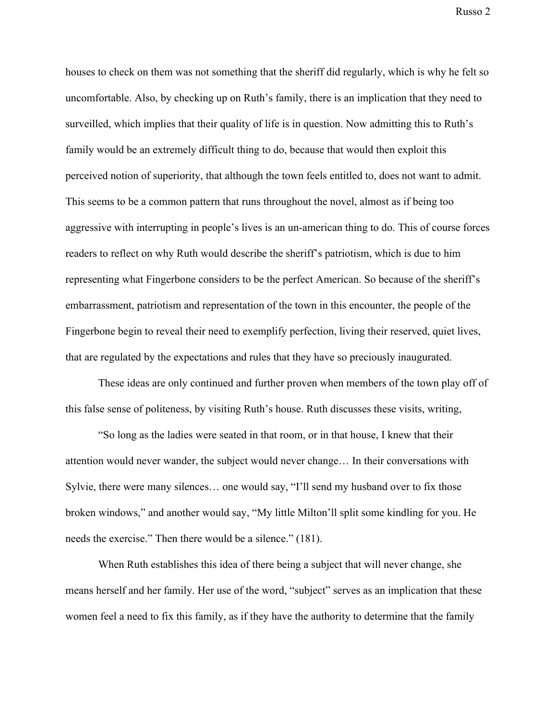houses to check on them was not something that the sheriff did regularly, which is why he felt so uncomfortable. Also, by checking up on Ruth's family, there is an implication that they need to surveilled, which implies that their quality of life is in question. Now admitting this to Ruth's family would be an extremely difficult thing to do, because that would then exploit this perceived notion of superiority, that although the town feels entitled to, does not want to admit. This seems to be a common pattern that runs throughout the novel, almost as if being too aggressive with interrupting in people's lives is an un-american thing to do. This of course forces readers to reflect on why Ruth would describe the sheriff's patriotism, which is due to him representing what Fingerbone considers to be the perfect American. So because of the sheriff's embarrassment, patriotism and representation of the town in this encounter, the people of the Fingerbone begin to reveal their need to exemplify perfection, living their reserved, quiet lives, that are regulated by the expectations and rules that they have so preciously inaugurated.

These ideas are only continued and further proven when members of the town play off of this false sense of politeness, by visiting Ruth's house. Ruth discusses these visits, writing,

"So long as the ladies were seated in that room, or in that house, I knew that their attention would never wander, the subject would never change… In their conversations with Sylvie, there were many silences... one would say, "I'll send my husband over to fix those broken windows," and another would say, "My little Milton'll split some kindling for you. He needs the exercise." Then there would be a silence." (181).

When Ruth establishes this idea of there being a subject that will never change, she means herself and her family. Her use of the word, "subject" serves as an implication that these women feel a need to fix this family, as if they have the authority to determine that the family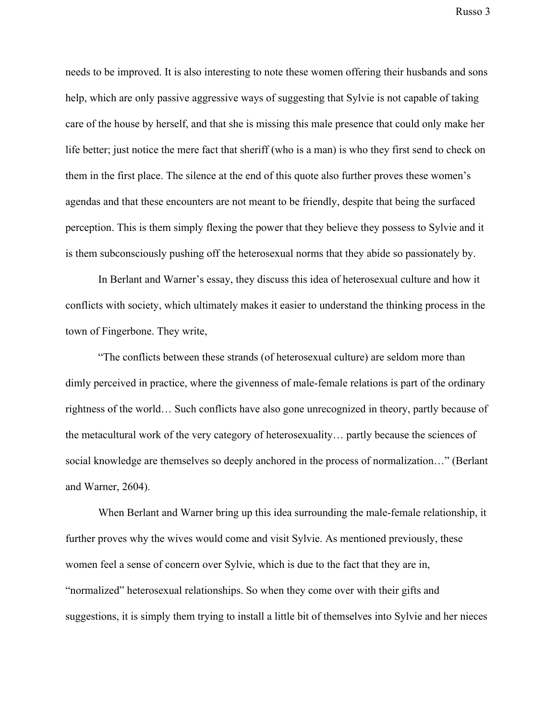needs to be improved. It is also interesting to note these women offering their husbands and sons help, which are only passive aggressive ways of suggesting that Sylvie is not capable of taking care of the house by herself, and that she is missing this male presence that could only make her life better; just notice the mere fact that sheriff (who is a man) is who they first send to check on them in the first place. The silence at the end of this quote also further proves these women's agendas and that these encounters are not meant to be friendly, despite that being the surfaced perception. This is them simply flexing the power that they believe they possess to Sylvie and it is them subconsciously pushing off the heterosexual norms that they abide so passionately by.

In Berlant and Warner's essay, they discuss this idea of heterosexual culture and how it conflicts with society, which ultimately makes it easier to understand the thinking process in the town of Fingerbone. They write,

"The conflicts between these strands (of heterosexual culture) are seldom more than dimly perceived in practice, where the givenness of male-female relations is part of the ordinary rightness of the world… Such conflicts have also gone unrecognized in theory, partly because of the metacultural work of the very category of heterosexuality… partly because the sciences of social knowledge are themselves so deeply anchored in the process of normalization…" (Berlant and Warner, 2604).

When Berlant and Warner bring up this idea surrounding the male-female relationship, it further proves why the wives would come and visit Sylvie. As mentioned previously, these women feel a sense of concern over Sylvie, which is due to the fact that they are in, "normalized" heterosexual relationships. So when they come over with their gifts and suggestions, it is simply them trying to install a little bit of themselves into Sylvie and her nieces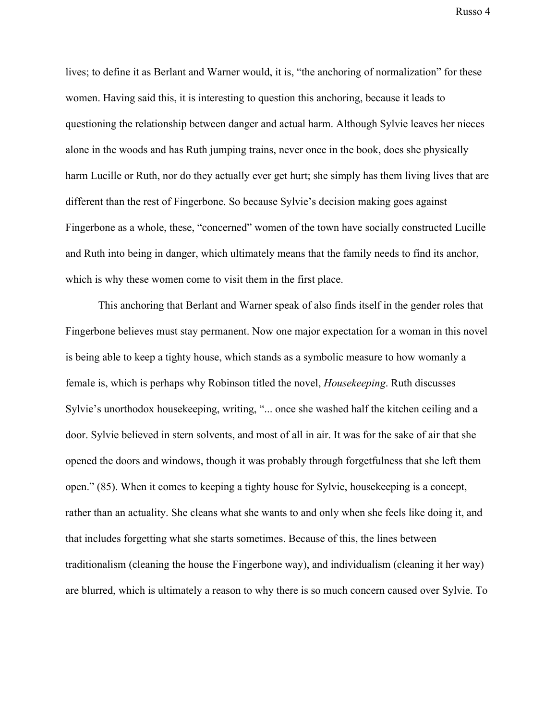lives; to define it as Berlant and Warner would, it is, "the anchoring of normalization" for these women. Having said this, it is interesting to question this anchoring, because it leads to questioning the relationship between danger and actual harm. Although Sylvie leaves her nieces alone in the woods and has Ruth jumping trains, never once in the book, does she physically harm Lucille or Ruth, nor do they actually ever get hurt; she simply has them living lives that are different than the rest of Fingerbone. So because Sylvie's decision making goes against Fingerbone as a whole, these, "concerned" women of the town have socially constructed Lucille and Ruth into being in danger, which ultimately means that the family needs to find its anchor, which is why these women come to visit them in the first place.

This anchoring that Berlant and Warner speak of also finds itself in the gender roles that Fingerbone believes must stay permanent. Now one major expectation for a woman in this novel is being able to keep a tighty house, which stands as a symbolic measure to how womanly a female is, which is perhaps why Robinson titled the novel, *Housekeeping*. Ruth discusses Sylvie's unorthodox housekeeping, writing, "... once she washed half the kitchen ceiling and a door. Sylvie believed in stern solvents, and most of all in air. It was for the sake of air that she opened the doors and windows, though it was probably through forgetfulness that she left them open." (85). When it comes to keeping a tighty house for Sylvie, housekeeping is a concept, rather than an actuality. She cleans what she wants to and only when she feels like doing it, and that includes forgetting what she starts sometimes. Because of this, the lines between traditionalism (cleaning the house the Fingerbone way), and individualism (cleaning it her way) are blurred, which is ultimately a reason to why there is so much concern caused over Sylvie. To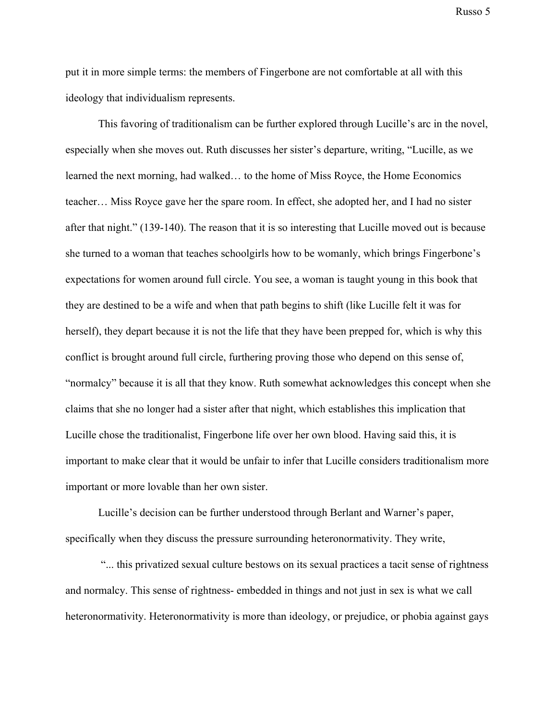put it in more simple terms: the members of Fingerbone are not comfortable at all with this ideology that individualism represents.

This favoring of traditionalism can be further explored through Lucille's arc in the novel, especially when she moves out. Ruth discusses her sister's departure, writing, "Lucille, as we learned the next morning, had walked… to the home of Miss Royce, the Home Economics teacher… Miss Royce gave her the spare room. In effect, she adopted her, and I had no sister after that night." (139-140). The reason that it is so interesting that Lucille moved out is because she turned to a woman that teaches schoolgirls how to be womanly, which brings Fingerbone's expectations for women around full circle. You see, a woman is taught young in this book that they are destined to be a wife and when that path begins to shift (like Lucille felt it was for herself), they depart because it is not the life that they have been prepped for, which is why this conflict is brought around full circle, furthering proving those who depend on this sense of, "normalcy" because it is all that they know. Ruth somewhat acknowledges this concept when she claims that she no longer had a sister after that night, which establishes this implication that Lucille chose the traditionalist, Fingerbone life over her own blood. Having said this, it is important to make clear that it would be unfair to infer that Lucille considers traditionalism more important or more lovable than her own sister.

Lucille's decision can be further understood through Berlant and Warner's paper, specifically when they discuss the pressure surrounding heteronormativity. They write,

 "... this privatized sexual culture bestows on its sexual practices a tacit sense of rightness and normalcy. This sense of rightness- embedded in things and not just in sex is what we call heteronormativity. Heteronormativity is more than ideology, or prejudice, or phobia against gays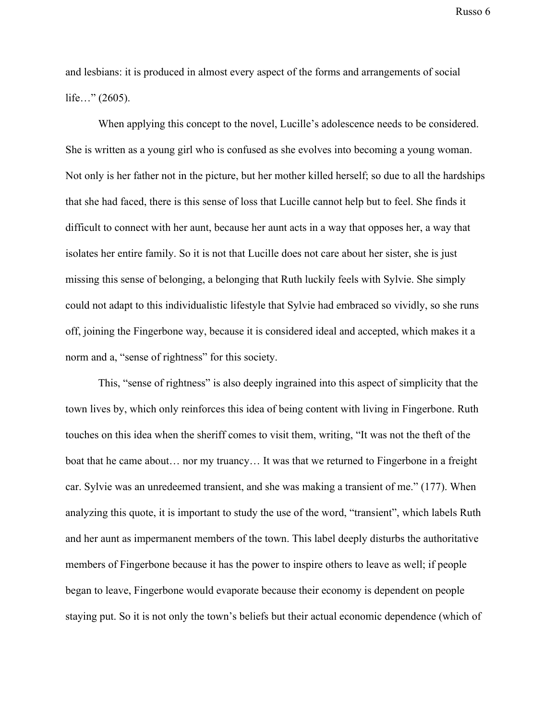and lesbians: it is produced in almost every aspect of the forms and arrangements of social life…" (2605).

When applying this concept to the novel, Lucille's adolescence needs to be considered. She is written as a young girl who is confused as she evolves into becoming a young woman. Not only is her father not in the picture, but her mother killed herself; so due to all the hardships that she had faced, there is this sense of loss that Lucille cannot help but to feel. She finds it difficult to connect with her aunt, because her aunt acts in a way that opposes her, a way that isolates her entire family. So it is not that Lucille does not care about her sister, she is just missing this sense of belonging, a belonging that Ruth luckily feels with Sylvie. She simply could not adapt to this individualistic lifestyle that Sylvie had embraced so vividly, so she runs off, joining the Fingerbone way, because it is considered ideal and accepted, which makes it a norm and a, "sense of rightness" for this society.

This, "sense of rightness" is also deeply ingrained into this aspect of simplicity that the town lives by, which only reinforces this idea of being content with living in Fingerbone. Ruth touches on this idea when the sheriff comes to visit them, writing, "It was not the theft of the boat that he came about… nor my truancy… It was that we returned to Fingerbone in a freight car. Sylvie was an unredeemed transient, and she was making a transient of me." (177). When analyzing this quote, it is important to study the use of the word, "transient", which labels Ruth and her aunt as impermanent members of the town. This label deeply disturbs the authoritative members of Fingerbone because it has the power to inspire others to leave as well; if people began to leave, Fingerbone would evaporate because their economy is dependent on people staying put. So it is not only the town's beliefs but their actual economic dependence (which of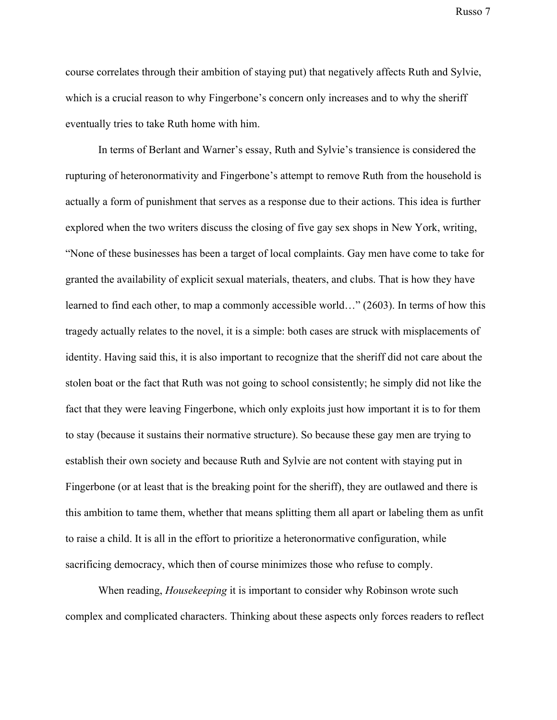course correlates through their ambition of staying put) that negatively affects Ruth and Sylvie, which is a crucial reason to why Fingerbone's concern only increases and to why the sheriff eventually tries to take Ruth home with him.

In terms of Berlant and Warner's essay, Ruth and Sylvie's transience is considered the rupturing of heteronormativity and Fingerbone's attempt to remove Ruth from the household is actually a form of punishment that serves as a response due to their actions. This idea is further explored when the two writers discuss the closing of five gay sex shops in New York, writing, "None of these businesses has been a target of local complaints. Gay men have come to take for granted the availability of explicit sexual materials, theaters, and clubs. That is how they have learned to find each other, to map a commonly accessible world…" (2603). In terms of how this tragedy actually relates to the novel, it is a simple: both cases are struck with misplacements of identity. Having said this, it is also important to recognize that the sheriff did not care about the stolen boat or the fact that Ruth was not going to school consistently; he simply did not like the fact that they were leaving Fingerbone, which only exploits just how important it is to for them to stay (because it sustains their normative structure). So because these gay men are trying to establish their own society and because Ruth and Sylvie are not content with staying put in Fingerbone (or at least that is the breaking point for the sheriff), they are outlawed and there is this ambition to tame them, whether that means splitting them all apart or labeling them as unfit to raise a child. It is all in the effort to prioritize a heteronormative configuration, while sacrificing democracy, which then of course minimizes those who refuse to comply.

When reading, *Housekeeping* it is important to consider why Robinson wrote such complex and complicated characters. Thinking about these aspects only forces readers to reflect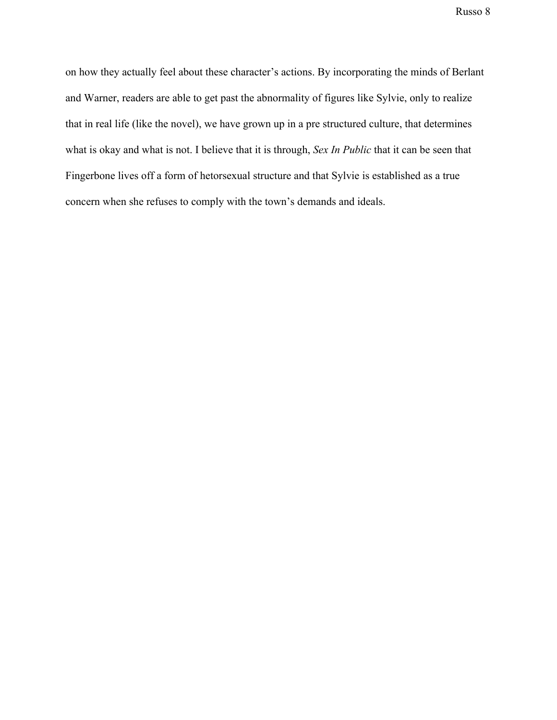on how they actually feel about these character's actions. By incorporating the minds of Berlant and Warner, readers are able to get past the abnormality of figures like Sylvie, only to realize that in real life (like the novel), we have grown up in a pre structured culture, that determines what is okay and what is not. I believe that it is through, *Sex In Public* that it can be seen that Fingerbone lives off a form of hetorsexual structure and that Sylvie is established as a true concern when she refuses to comply with the town's demands and ideals.